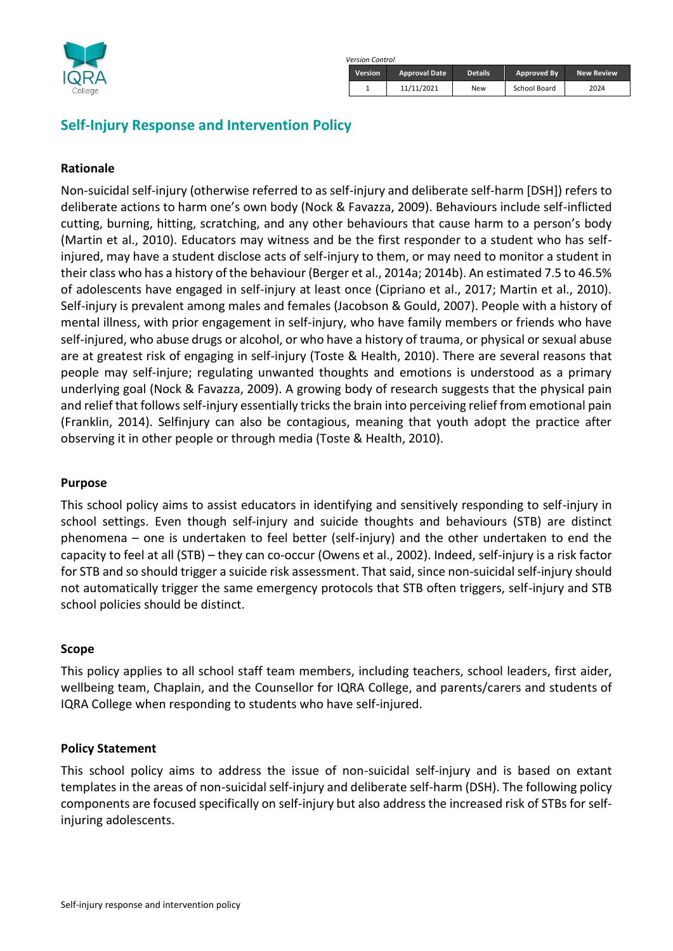

| rsion Control  |                      |                |              |                   |  |
|----------------|----------------------|----------------|--------------|-------------------|--|
| <b>Version</b> | <b>Approval Date</b> | <b>Details</b> | Approved By  | <b>New Review</b> |  |
|                | 11/11/2021           | New            | School Board | 2024              |  |

# **Self-Injury Response and Intervention Policy**

#### **Rationale**

Non-suicidal self-injury (otherwise referred to as self-injury and deliberate self-harm [DSH]) refers to deliberate actions to harm one's own body (Nock & Favazza, 2009). Behaviours include self-inflicted cutting, burning, hitting, scratching, and any other behaviours that cause harm to a person's body (Martin et al., 2010). Educators may witness and be the first responder to a student who has selfinjured, may have a student disclose acts of self-injury to them, or may need to monitor a student in their class who has a history of the behaviour (Berger et al., 2014a; 2014b). An estimated 7.5 to 46.5% of adolescents have engaged in self-injury at least once (Cipriano et al., 2017; Martin et al., 2010). Self-injury is prevalent among males and females (Jacobson & Gould, 2007). People with a history of mental illness, with prior engagement in self-injury, who have family members or friends who have self-injured, who abuse drugs or alcohol, or who have a history of trauma, or physical or sexual abuse are at greatest risk of engaging in self-injury (Toste & Health, 2010). There are several reasons that people may self-injure; regulating unwanted thoughts and emotions is understood as a primary underlying goal (Nock & Favazza, 2009). A growing body of research suggests that the physical pain and relief that follows self-injury essentially tricks the brain into perceiving relief from emotional pain (Franklin, 2014). Selfinjury can also be contagious, meaning that youth adopt the practice after observing it in other people or through media (Toste & Health, 2010).

*Version Control*

#### **Purpose**

This school policy aims to assist educators in identifying and sensitively responding to self-injury in school settings. Even though self-injury and suicide thoughts and behaviours (STB) are distinct phenomena – one is undertaken to feel better (self-injury) and the other undertaken to end the capacity to feel at all (STB) – they can co-occur (Owens et al., 2002). Indeed, self-injury is a risk factor for STB and so should trigger a suicide risk assessment. That said, since non-suicidal self-injury should not automatically trigger the same emergency protocols that STB often triggers, self-injury and STB school policies should be distinct.

#### **Scope**

This policy applies to all school staff team members, including teachers, school leaders, first aider, wellbeing team, Chaplain, and the Counsellor for IQRA College, and parents/carers and students of IQRA College when responding to students who have self-injured.

#### **Policy Statement**

This school policy aims to address the issue of non-suicidal self-injury and is based on extant templates in the areas of non-suicidal self-injury and deliberate self-harm (DSH). The following policy components are focused specifically on self-injury but also address the increased risk of STBs for selfinjuring adolescents.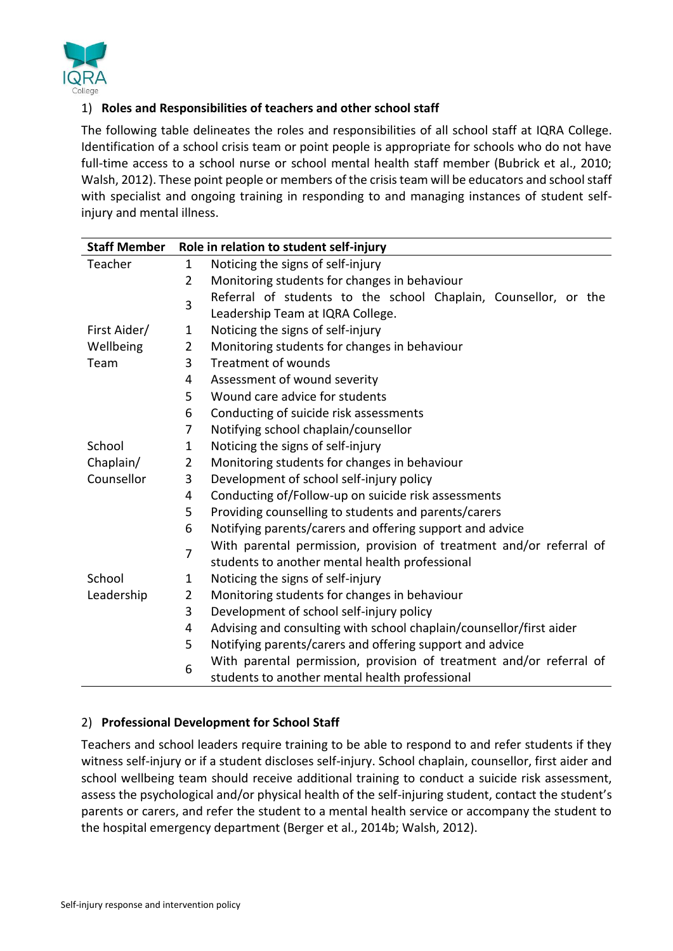

## 1) **Roles and Responsibilities of teachers and other school staff**

The following table delineates the roles and responsibilities of all school staff at IQRA College. Identification of a school crisis team or point people is appropriate for schools who do not have full-time access to a school nurse or school mental health staff member (Bubrick et al., 2010; Walsh, 2012). These point people or members of the crisis team will be educators and school staff with specialist and ongoing training in responding to and managing instances of student selfinjury and mental illness.

| <b>Staff Member</b> | Role in relation to student self-injury       |                                                                     |  |  |
|---------------------|-----------------------------------------------|---------------------------------------------------------------------|--|--|
| Teacher             | 1                                             | Noticing the signs of self-injury                                   |  |  |
|                     | 2                                             | Monitoring students for changes in behaviour                        |  |  |
|                     | 3                                             | Referral of students to the school Chaplain, Counsellor, or the     |  |  |
|                     |                                               | Leadership Team at IQRA College.                                    |  |  |
| First Aider/        | $\mathbf{1}$                                  | Noticing the signs of self-injury                                   |  |  |
| Wellbeing           | $\overline{2}$                                | Monitoring students for changes in behaviour                        |  |  |
| Team                | 3                                             | <b>Treatment of wounds</b>                                          |  |  |
|                     | 4                                             | Assessment of wound severity                                        |  |  |
|                     | 5                                             | Wound care advice for students                                      |  |  |
|                     | 6                                             | Conducting of suicide risk assessments                              |  |  |
|                     | 7                                             | Notifying school chaplain/counsellor                                |  |  |
| School              | 1                                             | Noticing the signs of self-injury                                   |  |  |
| Chaplain/           | $\overline{2}$                                | Monitoring students for changes in behaviour                        |  |  |
| Counsellor          | Development of school self-injury policy<br>3 |                                                                     |  |  |
|                     | 4                                             | Conducting of/Follow-up on suicide risk assessments                 |  |  |
|                     | 5                                             | Providing counselling to students and parents/carers                |  |  |
|                     | 6                                             | Notifying parents/carers and offering support and advice            |  |  |
|                     | 7                                             | With parental permission, provision of treatment and/or referral of |  |  |
|                     |                                               | students to another mental health professional                      |  |  |
| School              | 1                                             | Noticing the signs of self-injury                                   |  |  |
| Leadership          | $\overline{2}$                                | Monitoring students for changes in behaviour                        |  |  |
|                     | 3                                             | Development of school self-injury policy                            |  |  |
|                     | 4                                             | Advising and consulting with school chaplain/counsellor/first aider |  |  |
|                     | 5                                             | Notifying parents/carers and offering support and advice            |  |  |
|                     | 6                                             | With parental permission, provision of treatment and/or referral of |  |  |
|                     |                                               | students to another mental health professional                      |  |  |

## 2) **Professional Development for School Staff**

Teachers and school leaders require training to be able to respond to and refer students if they witness self-injury or if a student discloses self-injury. School chaplain, counsellor, first aider and school wellbeing team should receive additional training to conduct a suicide risk assessment, assess the psychological and/or physical health of the self-injuring student, contact the student's parents or carers, and refer the student to a mental health service or accompany the student to the hospital emergency department (Berger et al., 2014b; Walsh, 2012).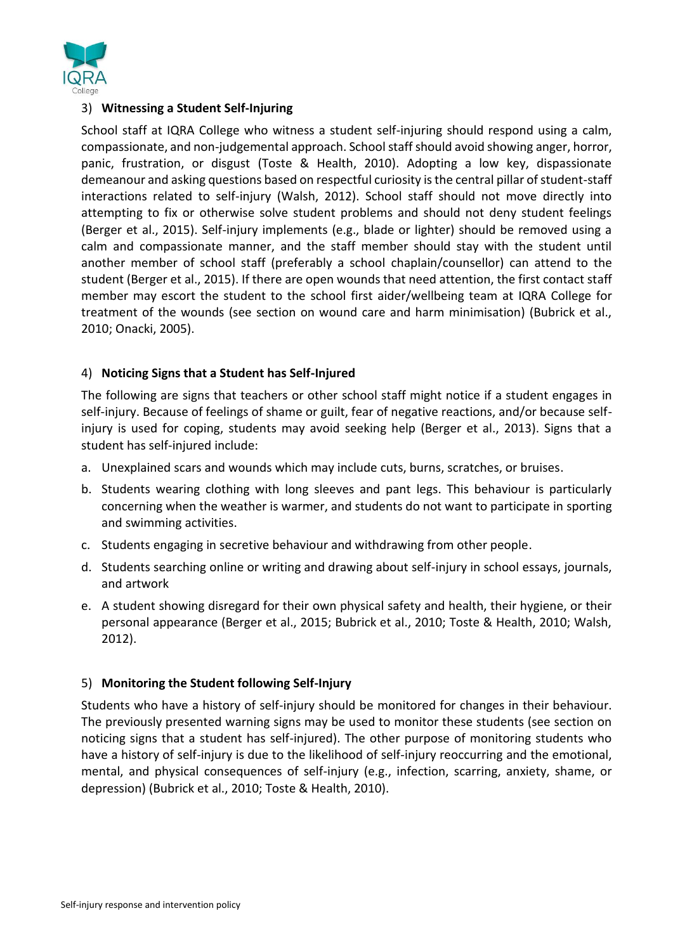

### 3) **Witnessing a Student Self-Injuring**

School staff at IQRA College who witness a student self-injuring should respond using a calm, compassionate, and non-judgemental approach. School staff should avoid showing anger, horror, panic, frustration, or disgust (Toste & Health, 2010). Adopting a low key, dispassionate demeanour and asking questions based on respectful curiosity is the central pillar of student-staff interactions related to self-injury (Walsh, 2012). School staff should not move directly into attempting to fix or otherwise solve student problems and should not deny student feelings (Berger et al., 2015). Self-injury implements (e.g., blade or lighter) should be removed using a calm and compassionate manner, and the staff member should stay with the student until another member of school staff (preferably a school chaplain/counsellor) can attend to the student (Berger et al., 2015). If there are open wounds that need attention, the first contact staff member may escort the student to the school first aider/wellbeing team at IQRA College for treatment of the wounds (see section on wound care and harm minimisation) (Bubrick et al., 2010; Onacki, 2005).

### 4) **Noticing Signs that a Student has Self-Injured**

The following are signs that teachers or other school staff might notice if a student engages in self-injury. Because of feelings of shame or guilt, fear of negative reactions, and/or because selfinjury is used for coping, students may avoid seeking help (Berger et al., 2013). Signs that a student has self-injured include:

- a. Unexplained scars and wounds which may include cuts, burns, scratches, or bruises.
- b. Students wearing clothing with long sleeves and pant legs. This behaviour is particularly concerning when the weather is warmer, and students do not want to participate in sporting and swimming activities.
- c. Students engaging in secretive behaviour and withdrawing from other people.
- d. Students searching online or writing and drawing about self-injury in school essays, journals, and artwork
- e. A student showing disregard for their own physical safety and health, their hygiene, or their personal appearance (Berger et al., 2015; Bubrick et al., 2010; Toste & Health, 2010; Walsh, 2012).

#### 5) **Monitoring the Student following Self-Injury**

Students who have a history of self-injury should be monitored for changes in their behaviour. The previously presented warning signs may be used to monitor these students (see section on noticing signs that a student has self-injured). The other purpose of monitoring students who have a history of self-injury is due to the likelihood of self-injury reoccurring and the emotional, mental, and physical consequences of self-injury (e.g., infection, scarring, anxiety, shame, or depression) (Bubrick et al., 2010; Toste & Health, 2010).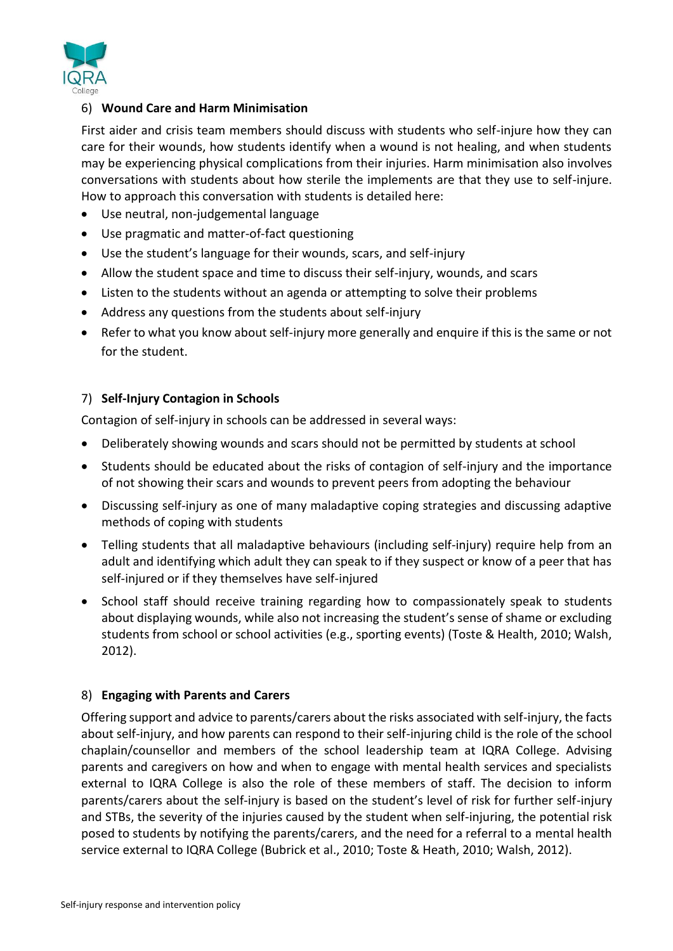

## 6) **Wound Care and Harm Minimisation**

First aider and crisis team members should discuss with students who self-injure how they can care for their wounds, how students identify when a wound is not healing, and when students may be experiencing physical complications from their injuries. Harm minimisation also involves conversations with students about how sterile the implements are that they use to self-injure. How to approach this conversation with students is detailed here:

- Use neutral, non-judgemental language
- Use pragmatic and matter-of-fact questioning
- Use the student's language for their wounds, scars, and self-injury
- Allow the student space and time to discuss their self-injury, wounds, and scars
- Listen to the students without an agenda or attempting to solve their problems
- Address any questions from the students about self-injury
- Refer to what you know about self-injury more generally and enquire if this is the same or not for the student.

## 7) **Self-Injury Contagion in Schools**

Contagion of self-injury in schools can be addressed in several ways:

- Deliberately showing wounds and scars should not be permitted by students at school
- Students should be educated about the risks of contagion of self-injury and the importance of not showing their scars and wounds to prevent peers from adopting the behaviour
- Discussing self-injury as one of many maladaptive coping strategies and discussing adaptive methods of coping with students
- Telling students that all maladaptive behaviours (including self-injury) require help from an adult and identifying which adult they can speak to if they suspect or know of a peer that has self-injured or if they themselves have self-injured
- School staff should receive training regarding how to compassionately speak to students about displaying wounds, while also not increasing the student's sense of shame or excluding students from school or school activities (e.g., sporting events) (Toste & Health, 2010; Walsh, 2012).

## 8) **Engaging with Parents and Carers**

Offering support and advice to parents/carers about the risks associated with self-injury, the facts about self-injury, and how parents can respond to their self-injuring child is the role of the school chaplain/counsellor and members of the school leadership team at IQRA College. Advising parents and caregivers on how and when to engage with mental health services and specialists external to IQRA College is also the role of these members of staff. The decision to inform parents/carers about the self-injury is based on the student's level of risk for further self-injury and STBs, the severity of the injuries caused by the student when self-injuring, the potential risk posed to students by notifying the parents/carers, and the need for a referral to a mental health service external to IQRA College (Bubrick et al., 2010; Toste & Heath, 2010; Walsh, 2012).